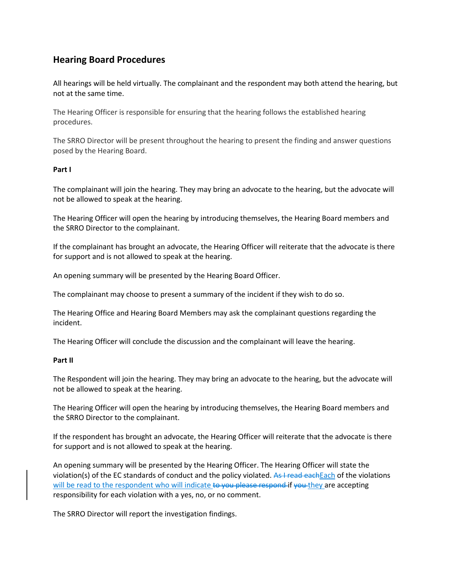# **Hearing Board Procedures**

All hearings will be held virtually. The complainant and the respondent may both attend the hearing, but not at the same time.

The Hearing Officer is responsible for ensuring that the hearing follows the established hearing procedures.

The SRRO Director will be present throughout the hearing to present the finding and answer questions posed by the Hearing Board.

# **Part I**

The complainant will join the hearing. They may bring an advocate to the hearing, but the advocate will not be allowed to speak at the hearing.

The Hearing Officer will open the hearing by introducing themselves, the Hearing Board members and the SRRO Director to the complainant.

If the complainant has brought an advocate, the Hearing Officer will reiterate that the advocate is there for support and is not allowed to speak at the hearing.

An opening summary will be presented by the Hearing Board Officer.

The complainant may choose to present a summary of the incident if they wish to do so.

The Hearing Office and Hearing Board Members may ask the complainant questions regarding the incident.

The Hearing Officer will conclude the discussion and the complainant will leave the hearing.

# **Part II**

The Respondent will join the hearing. They may bring an advocate to the hearing, but the advocate will not be allowed to speak at the hearing.

The Hearing Officer will open the hearing by introducing themselves, the Hearing Board members and the SRRO Director to the complainant.

If the respondent has brought an advocate, the Hearing Officer will reiterate that the advocate is there for support and is not allowed to speak at the hearing.

An opening summary will be presented by the Hearing Officer. The Hearing Officer will state the violation(s) of the EC standards of conduct and the policy violated. As I read each Each of the violations will be read to the respondent who will indicate to you please respond if you they are accepting responsibility for each violation with a yes, no, or no comment.

The SRRO Director will report the investigation findings.